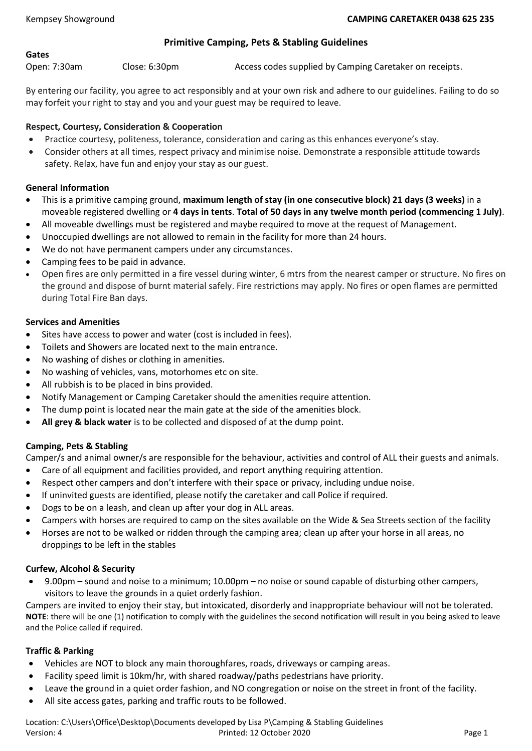# **Primitive Camping, Pets & Stabling Guidelines**

### **Gates**

Open: 7:30am Close: 6:30pm Access codes supplied by Camping Caretaker on receipts.

By entering our facility, you agree to act responsibly and at your own risk and adhere to our guidelines. Failing to do so may forfeit your right to stay and you and your guest may be required to leave.

# **Respect, Courtesy, Consideration & Cooperation**

- Practice courtesy, politeness, tolerance, consideration and caring as this enhances everyone's stay.
- Consider others at all times, respect privacy and minimise noise. Demonstrate a responsible attitude towards safety. Relax, have fun and enjoy your stay as our guest.

# **General Information**

- This is a primitive camping ground, **maximum length of stay (in one consecutive block) 21 days (3 weeks)** in a moveable registered dwelling or **4 days in tents**. **Total of 50 days in any twelve month period (commencing 1 July)**.
- All moveable dwellings must be registered and maybe required to move at the request of Management.
- Unoccupied dwellings are not allowed to remain in the facility for more than 24 hours.
- We do not have permanent campers under any circumstances.
- Camping fees to be paid in advance.
- Open fires are only permitted in a fire vessel during winter, 6 mtrs from the nearest camper or structure. No fires on the ground and dispose of burnt material safely. Fire restrictions may apply. No fires or open flames are permitted during Total Fire Ban days.

## **Services and Amenities**

- Sites have access to power and water (cost is included in fees).
- Toilets and Showers are located next to the main entrance.
- No washing of dishes or clothing in amenities.
- No washing of vehicles, vans, motorhomes etc on site.
- All rubbish is to be placed in bins provided.
- Notify Management or Camping Caretaker should the amenities require attention.
- The dump point is located near the main gate at the side of the amenities block.
- **All grey & black water** is to be collected and disposed of at the dump point.

# **Camping, Pets & Stabling**

Camper/s and animal owner/s are responsible for the behaviour, activities and control of ALL their guests and animals.

- Care of all equipment and facilities provided, and report anything requiring attention.
- Respect other campers and don't interfere with their space or privacy, including undue noise.
- If uninvited guests are identified, please notify the caretaker and call Police if required.
- Dogs to be on a leash, and clean up after your dog in ALL areas.
- Campers with horses are required to camp on the sites available on the Wide & Sea Streets section of the facility
- Horses are not to be walked or ridden through the camping area; clean up after your horse in all areas, no droppings to be left in the stables

## **Curfew, Alcohol & Security**

• 9.00pm – sound and noise to a minimum; 10.00pm – no noise or sound capable of disturbing other campers, visitors to leave the grounds in a quiet orderly fashion.

Campers are invited to enjoy their stay, but intoxicated, disorderly and inappropriate behaviour will not be tolerated. **NOTE**: there will be one (1) notification to comply with the guidelines the second notification will result in you being asked to leave and the Police called if required.

## **Traffic & Parking**

- Vehicles are NOT to block any main thoroughfares, roads, driveways or camping areas.
- Facility speed limit is 10km/hr, with shared roadway/paths pedestrians have priority.
- Leave the ground in a quiet order fashion, and NO congregation or noise on the street in front of the facility.
- All site access gates, parking and traffic routs to be followed.

Location: C:\Users\Office\Desktop\Documents developed by Lisa P\Camping & Stabling Guidelines Version: 4 **Printed: 12 October 2020** Page 1